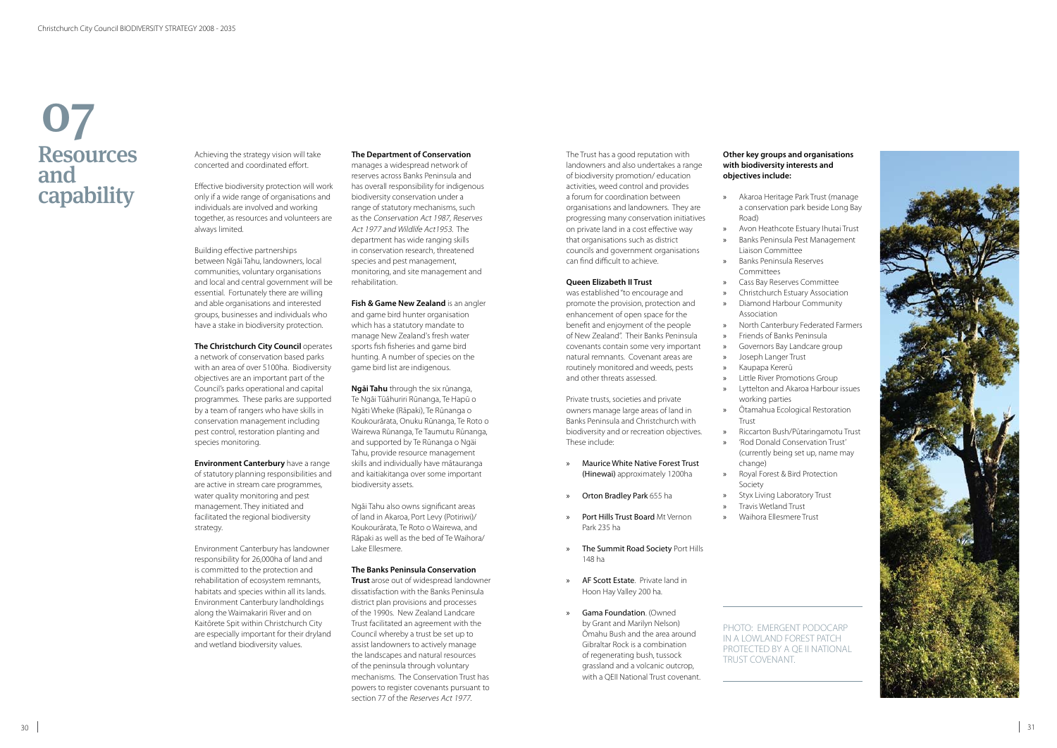The Trust has a good reputation with landowners and also undertakes a range of biodiversity promotion/ education activities, weed control and provides a forum for coordination between organisations and landowners. They are progressing many conservation initiatives on private land in a cost effective way that organisations such as district councils and government organisations can find difficult to achieve.

#### **Queen Elizabeth II Trust**

was established "to encourage and promote the provision, protection and enhancement of open space for the benefit and enjoyment of the people of New Zealand". Their Banks Peninsula covenants contain some very important natural remnants. Covenant areas are routinely monitored and weeds, pests and other threats assessed.

Private trusts, societies and private owners manage large areas of land in Banks Peninsula and Christchurch with biodiversity and or recreation objectives. These include:

- » Maurice White Native Forest Trust (Hinewai) approximately 1200ha
- » Orton Bradley Park 655 ha
- » Port Hills Trust Board Mt Vernon Park 235 ha
- » The Summit Road Society Port Hills 148 ha
- **AF Scott Estate.** Private land in Hoon Hay Valley 200 ha.
- » Gama Foundation. (Owned by Grant and Marilyn Nelson) Ōmahu Bush and the area around Gibraltar Rock is a combination of regenerating bush, tussock grassland and a volcanic outcrop, with a QEII National Trust covenant.

#### **Other key groups and organisations with biodiversity interests and objectives include:**

a conservation park beside Long Bay

» Avon Heathcote Estuary Ihutai Trust » Banks Peninsula Pest Management

**The Christchurch City Council <b>operates** a network of conservation based parks with an area of over 5100ha. Biodiversity objectives are an important part of the Council's parks operational and capital programmes. These parks are supported by a team of rangers who have skills in conservation management including pest control, restoration planting and species monitoring.

» Christchurch Estuary Association

» North Canterbury Federated Farmers » Governors Bay Landcare group

- » Akaroa Heritage Park Trust (manage Road)
	-
	- Liaison Committee
- » Banks Peninsula Reserves Committees
- » Cass Bay Reserves Committee
- 
- » Diamond Harbour Community
- Association
- 
- » Friends of Banks Peninsula
- » Joseph Langer Trust
	- » Kaupapa Kererū
	- » Little River Promotions Group
	- working parties
	- » Ōtamahua Ecological Restoration Trust
	-
- » 'Rod Donald Conservation Trust' change)
- » Royal Forest & Bird Protection Society
- » Styx Living Laboratory Trust
- » Travis Wetland Trust
- » Waihora Ellesmere Trust

» Lyttelton and Akaroa Harbour issues

» Riccarton Bush/Pūtaringamotu Trust (currently being set up, name may



**Fish & Game New Zealand** is an angler and game bird hunter organisation which has a statutory mandate to manage New Zealand's fresh water sports fish fisheries and game bird hunting. A number of species on the game bird list are indigenous.

> PHOTO: EMERGENT PODOCARP IN A LOWLAND FOREST PATCH PROTECTED BY A QE II NATIONAL

TRUST COVENANT.

# Resources and capability 07

Achieving the strategy vision will take concerted and coordinated effort.

> **Ngāi Tahu** through the six rūnanga, Te Ngāi Tūāhuriri Rūnanga, Te Hapū o Ngāti Wheke (Rāpaki), Te Rūnanga o Koukourārata, Onuku Rūnanga, Te Roto o Wairewa Rūnanga, Te Taumutu Rūnanga, and supported by Te Rūnanga o Ngäi Tahu, provide resource management skills and individually have mātauranga and kaitiakitanga over some important biodiversity assets.

Effective biodiversity protection will work only if a wide range of organisations and individuals are involved and working together, as resources and volunteers are always limited.

Building effective partnerships between Ngāi Tahu, landowners, local communities, voluntary organisations and local and central government will be essential. Fortunately there are willing and able organisations and interested groups, businesses and individuals who have a stake in biodiversity protection.

**Environment Canterbury** have a range of statutory planning responsibilities and are active in stream care programmes, water quality monitoring and pest management. They initiated and facilitated the regional biodiversity strategy.

Environment Canterbury has landowner responsibility for 26,000ha of land and is committed to the protection and rehabilitation of ecosystem remnants, habitats and species within all its lands. Environment Canterbury landholdings along the Waimakariri River and on Kaitōrete Spit within Christchurch City are especially important for their dryland and wetland biodiversity values.

#### **The Department of Conservation**

manages a widespread network of reserves across Banks Peninsula and has overall responsibility for indigenous biodiversity conservation under a range of statutory mechanisms, such as the Conservation Act 1987, Reserves Act 1977 and Wildlife Act1953. The department has wide ranging skills in conservation research, threatened species and pest management, monitoring, and site management and rehabilitation.

Ngāi Tahu also owns significant areas of land in Akaroa, Port Levy (Potiriwi)/ Koukourārata, Te Roto o Wairewa, and Rāpaki as well as the bed of Te Waihora/ Lake Ellesmere.

#### **The Banks Peninsula Conservation**

**Trust** arose out of widespread landowner dissatisfaction with the Banks Peninsula district plan provisions and processes of the 1990s. New Zealand Landcare Trust facilitated an agreement with the Council whereby a trust be set up to assist landowners to actively manage the landscapes and natural resources of the peninsula through voluntary mechanisms. The Conservation Trust has powers to register covenants pursuant to section 77 of the Reserves Act 1977.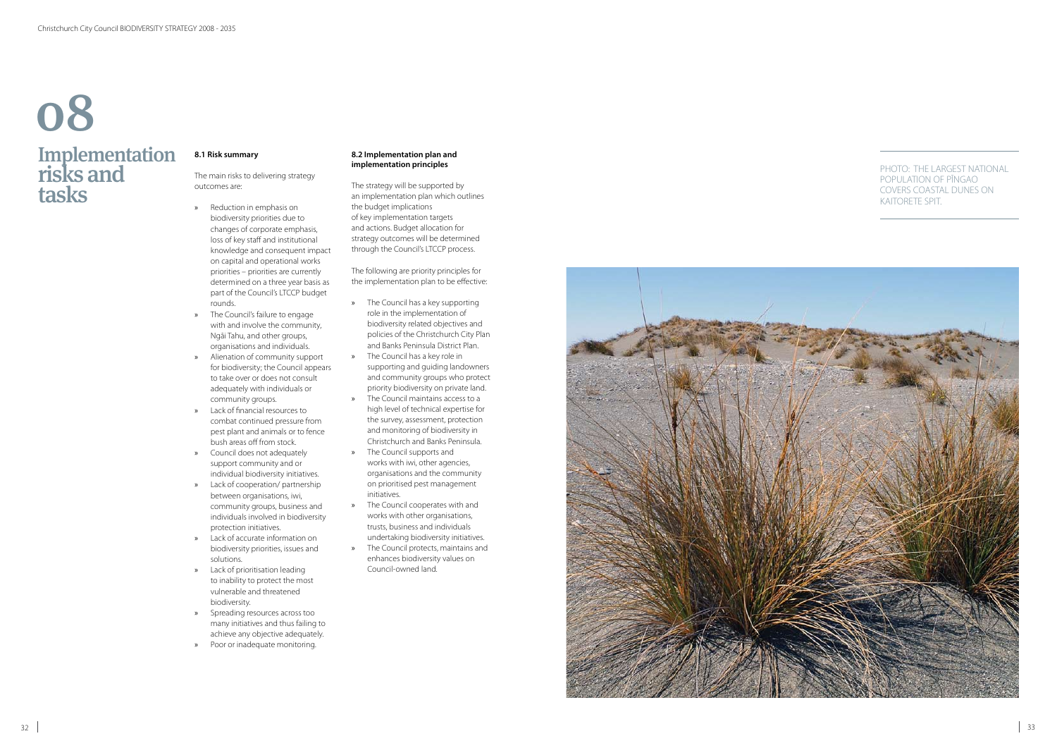## **Implementation** risks and tasks 08

#### **8.1 Risk summary**

The main risks to delivering strategy outcomes are:

- » Reduction in emphasis on biodiversity priorities due to changes of corporate emphasis, loss of key staff and institutional knowledge and consequent impact on capital and operational works priorities – priorities are currently determined on a three year basis as part of the Council's LTCCP budget rounds.
- » The Council's failure to engage with and involve the community, Ngāi Tahu, and other groups, organisations and individuals.
- » Alienation of community support for biodiversity; the Council appears to take over or does not consult adequately with individuals or community groups.
- » Lack of financial resources to combat continued pressure from pest plant and animals or to fence bush areas off from stock.
- » Council does not adequately support community and or individual biodiversity initiatives.
- » Lack of cooperation/ partnership between organisations, iwi, community groups, business and individuals involved in biodiversity protection initiatives.
- » Lack of accurate information on biodiversity priorities, issues and solutions.
- » Lack of prioritisation leading to inability to protect the most vulnerable and threatened biodiversity.
- » Spreading resources across too many initiatives and thus failing to achieve any objective adequately.
- » Poor or inadequate monitoring.

#### **8.2 Implementation plan and implementation principles**

The strategy will be supported by an implementation plan which outlines the budget implications of key implementation targets and actions. Budget allocation for strategy outcomes will be determined through the Council's LTCCP process.

The following are priority principles for the implementation plan to be effective:

- » The Council has a key supporting role in the implementation of biodiversity related objectives and policies of the Christchurch City Plan and Banks Peninsula District Plan.
- » The Council has a key role in supporting and guiding landowners and community groups who protect priority biodiversity on private land.
- » The Council maintains access to a high level of technical expertise for the survey, assessment, protection and monitoring of biodiversity in Christchurch and Banks Peninsula.
- » The Council supports and works with iwi, other agencies, organisations and the community on prioritised pest management initiatives.
- » The Council cooperates with and works with other organisations, trusts, business and individuals undertaking biodiversity initiatives.
- » The Council protects, maintains and enhances biodiversity values on Council-owned land.



#### PHOTO: THE LARGEST NATIONAL POPULATION OF PĪNGAO COVERS COASTAL DUNES ON KAITORETE SPIT.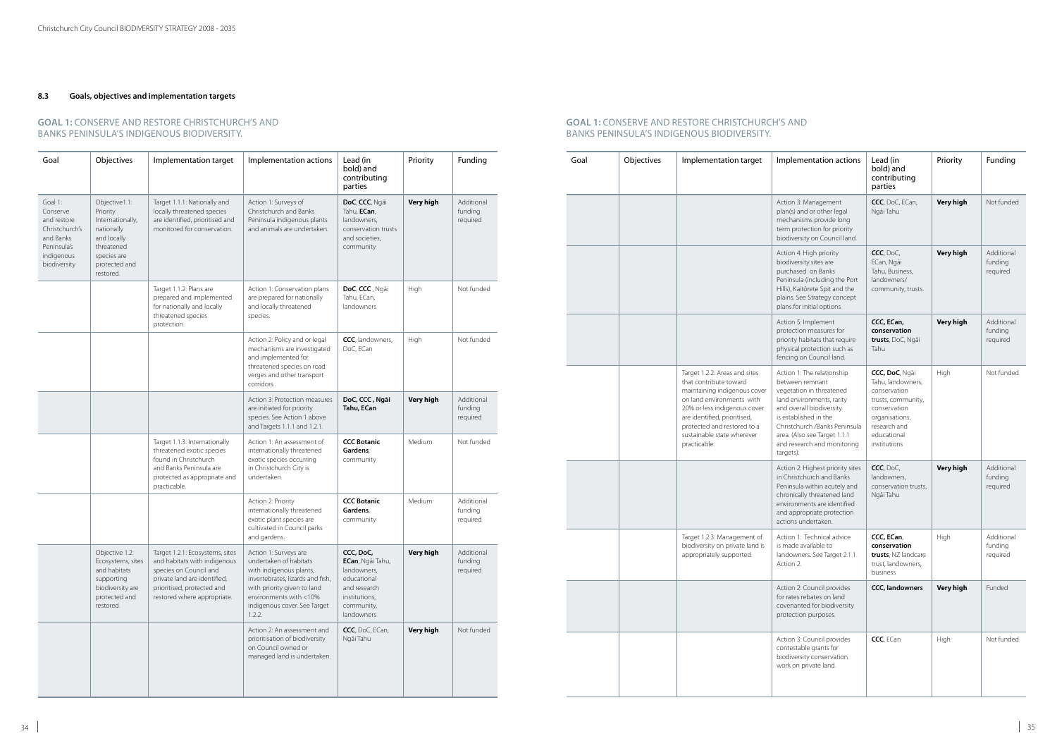### **8.3 Goals, objectives and implementation targets**

| Goal                                                                                                           | Objectives                                                                                                                            | Implementation target                                                                                                                                                                  | Implementation actions                                                                                                                                                                                            | Lead (in<br>bold) and<br>contributing<br>parties                                                                         | Priority         | Funding                           |
|----------------------------------------------------------------------------------------------------------------|---------------------------------------------------------------------------------------------------------------------------------------|----------------------------------------------------------------------------------------------------------------------------------------------------------------------------------------|-------------------------------------------------------------------------------------------------------------------------------------------------------------------------------------------------------------------|--------------------------------------------------------------------------------------------------------------------------|------------------|-----------------------------------|
| Goal 1:<br>Conserve<br>and restore<br>Christchurch's<br>and Banks<br>Peninsula's<br>indigenous<br>biodiversity | Objective1.1:<br>Priority<br>Internationally,<br>nationally<br>and locally<br>threatened<br>species are<br>protected and<br>restored. | Target 1.1.1: Nationally and<br>locally threatened species<br>are identified, prioritised and<br>monitored for conservation.                                                           | Action 1: Surveys of<br>Christchurch and Banks<br>Peninsula indigenous plants<br>and animals are undertaken.                                                                                                      | DoC, CCC, Ngãi<br>Tahu, ECan,<br>landowners,<br>conservation trusts<br>and societies,<br>community                       | <b>Very high</b> | Additional<br>funding<br>required |
|                                                                                                                |                                                                                                                                       | Target 1.1.2: Plans are<br>prepared and implemented<br>for nationally and locally<br>threatened species<br>protection.                                                                 | Action 1: Conservation plans<br>are prepared for nationally<br>and locally threatened<br>species.                                                                                                                 | DoC, CCC, Ngāi<br>Tahu, ECan,<br>landowners                                                                              | High             | Not funded                        |
|                                                                                                                |                                                                                                                                       |                                                                                                                                                                                        | Action 2: Policy and or legal<br>mechanisms are investigated<br>and implemented for<br>threatened species on road<br>verges and other transport<br>corridors.                                                     | CCC, landowners,<br>DoC, ECan                                                                                            | High             | Not funded                        |
|                                                                                                                |                                                                                                                                       |                                                                                                                                                                                        | Action 3: Protection measures<br>are initiated for priority<br>species. See Action 1 above<br>and Targets 1.1.1 and 1.2.1.                                                                                        | DoC, CCC, Ngāi<br>Tahu, ECan                                                                                             | <b>Very high</b> | Additional<br>funding<br>required |
|                                                                                                                |                                                                                                                                       | Target 1.1.3: Internationally<br>threatened exotic species<br>found in Christchurch<br>and Banks Peninsula are<br>protected as appropriate and<br>practicable.                         | Action 1: An assessment of<br>internationally threatened<br>exotic species occurring<br>in Christchurch City is<br>undertaken.                                                                                    | <b>CCC Botanic</b><br>Gardens,<br>community                                                                              | Medium           | Not funded                        |
|                                                                                                                |                                                                                                                                       |                                                                                                                                                                                        | Action 2: Priority<br>internationally threatened<br>exotic plant species are<br>cultivated in Council parks<br>and gardens.                                                                                       | <b>CCC Botanic</b><br>Gardens.<br>community                                                                              | Medium           | Additional<br>funding<br>required |
|                                                                                                                | Objective 1.2:<br>Ecosystems, sites<br>and habitats<br>supporting<br>biodiversity are<br>protected and<br>restored.                   | Target 1.2.1: Ecosystems, sites<br>and habitats with indigenous<br>species on Council and<br>private land are identified,<br>prioritised, protected and<br>restored where appropriate. | Action 1: Surveys are<br>undertaken of habitats<br>with indigenous plants,<br>invertebrates, lizards and fish,<br>with priority given to land<br>environments with <10%<br>indigenous cover. See Target<br>1.2.2. | CCC, DoC,<br>ECan, Ngāi Tahu,<br>landowners,<br>educational<br>and research<br>institutions,<br>community,<br>landowners | <b>Very high</b> | Additional<br>funding<br>required |
|                                                                                                                |                                                                                                                                       |                                                                                                                                                                                        | Action 2: An assessment and<br>prioritisation of biodiversity<br>on Council owned or<br>managed land is undertaken.                                                                                               | CCC, DoC, ECan,<br>Ngāi Tahu                                                                                             | <b>Very high</b> | Not funded                        |

#### **GOAL 1:** CONSERVE AND restore CHRISTCHURCH'S AND BANKS PENINSULA'S INDIGENOUS BIODIVERSITY.

| Goal | Objectives | Implementation target                                                                                                                                                                                                                                             | Implementation actions                                                                                                                                                                                                                                                   | Lead (in<br>bold) and<br>contributing<br>parties                                                                                                           | Priority         | Funding                           |
|------|------------|-------------------------------------------------------------------------------------------------------------------------------------------------------------------------------------------------------------------------------------------------------------------|--------------------------------------------------------------------------------------------------------------------------------------------------------------------------------------------------------------------------------------------------------------------------|------------------------------------------------------------------------------------------------------------------------------------------------------------|------------------|-----------------------------------|
|      |            |                                                                                                                                                                                                                                                                   | Action 3: Management<br>plan(s) and or other legal<br>mechanisms provide long<br>term protection for priority<br>biodiversity on Council land.                                                                                                                           | CCC, DoC, ECan,<br>Ngāi Tahu                                                                                                                               | <b>Very high</b> | Not funded                        |
|      |            |                                                                                                                                                                                                                                                                   | Action 4: High priority<br>biodiversity sites are<br>purchased on Banks<br>Peninsula (including the Port<br>Hills), Kaitōrete Spit and the<br>plains. See Strategy concept<br>plans for initial options.                                                                 | CCC, DoC,<br>ECan, Ngāi<br>Tahu, Business,<br>landowners/<br>community, trusts.                                                                            | Very high        | Additional<br>funding<br>required |
|      |            |                                                                                                                                                                                                                                                                   | Action 5: Implement<br>protection measures for<br>priority habitats that require<br>physical protection such as<br>fencing on Council land.                                                                                                                              | CCC, ECan,<br>conservation<br>trusts, DoC, Ngāi<br>Tahu                                                                                                    | Very high        | Additional<br>funding<br>required |
|      |            | Target 1.2.2: Areas and sites<br>that contribute toward<br>maintaining indigenous cover<br>on land environments with<br>20% or less indigenous cover<br>are identified, prioritised,<br>protected and restored to a<br>sustainable state wherever<br>practicable. | Action 1: The relationship<br>between remnant<br>vegetation in threatened<br>land environments, rarity<br>and overall biodiversity<br>is established in the<br>Christchurch /Banks Peninsula<br>area. (Also see Target 1.1.1<br>and research and monitoring<br>targets). | CCC, DoC, Ngāi<br>Tahu, landowners,<br>conservation<br>trusts, community,<br>conservation<br>organisations,<br>research and<br>educational<br>institutions | High             | Not funded                        |
|      |            |                                                                                                                                                                                                                                                                   | Action 2: Highest priority sites<br>in Christchurch and Banks<br>Peninsula within acutely and<br>chronically threatened land<br>environments are identified<br>and appropriate protection<br>actions undertaken.                                                         | CCC, DoC,<br>landowners,<br>conservation trusts,<br>Ngāi Tahu                                                                                              | <b>Very high</b> | Additional<br>funding<br>required |
|      |            | Target 1.2.3: Management of<br>biodiversity on private land is<br>appropriately supported.                                                                                                                                                                        | Action 1: Technical advice<br>is made available to<br>landowners. See Target 2.1.1.<br>Action 2.                                                                                                                                                                         | CCC, ECan,<br>conservation<br>trusts, NZ landcare<br>trust, landowners,<br>business                                                                        | High             | Additional<br>funding<br>required |
|      |            |                                                                                                                                                                                                                                                                   | Action 2: Council provides<br>for rates rebates on land<br>covenanted for biodiversity<br>protection purposes.                                                                                                                                                           | <b>CCC, landowners</b>                                                                                                                                     | Very high        | Funded                            |
|      |            |                                                                                                                                                                                                                                                                   | Action 3: Council provides<br>contestable grants for<br>biodiversity conservation<br>work on private land.                                                                                                                                                               | CCC, ECan                                                                                                                                                  | High             | Not funded                        |

#### **GOAL 1:** CONSERVE AND REStore CHRISTCHURCH'S AND BANKS PENINSULA'S INDIGENOUS BIODIVERSITY.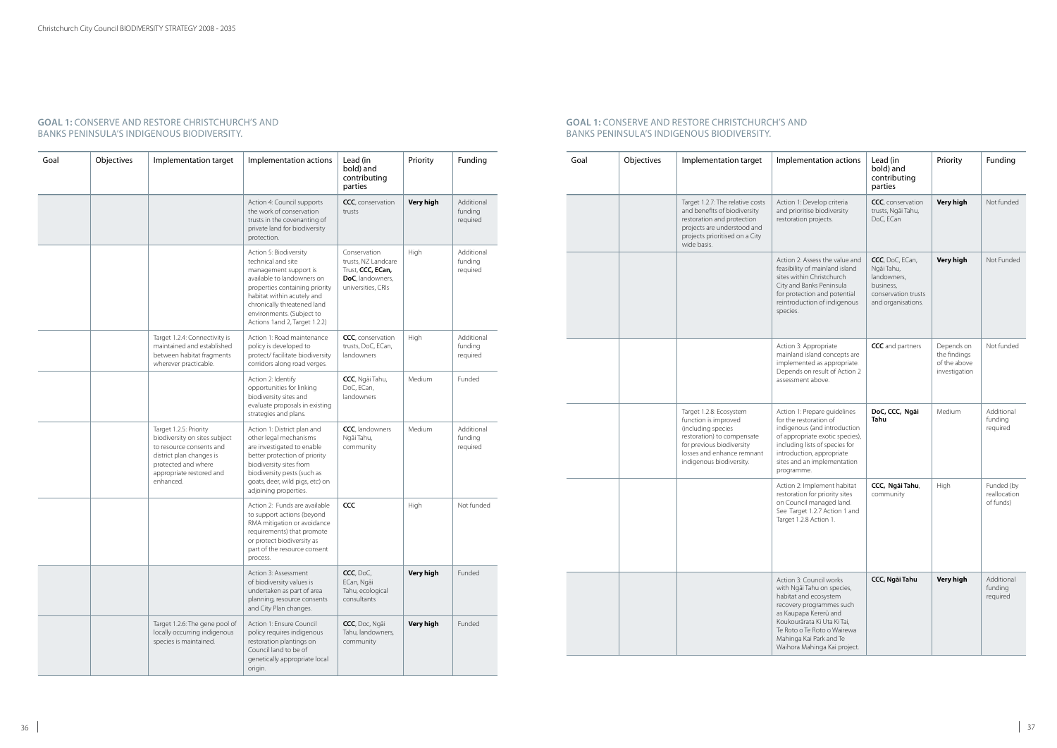| Goal | Objectives | Implementation target                                                                                                                                                           | Implementation actions                                                                                                                                                                                                                                            | Lead (in<br>bold) and<br>contributing<br>parties                                                   | Priority         | Funding                           |
|------|------------|---------------------------------------------------------------------------------------------------------------------------------------------------------------------------------|-------------------------------------------------------------------------------------------------------------------------------------------------------------------------------------------------------------------------------------------------------------------|----------------------------------------------------------------------------------------------------|------------------|-----------------------------------|
|      |            |                                                                                                                                                                                 | Action 4: Council supports<br>the work of conservation<br>trusts in the covenanting of<br>private land for biodiversity<br>protection.                                                                                                                            | CCC, conservation<br>trusts                                                                        | <b>Very high</b> | Additional<br>funding<br>required |
|      |            |                                                                                                                                                                                 | Action 5: Biodiversity<br>technical and site<br>management support is<br>available to landowners on<br>properties containing priority<br>habitat within acutely and<br>chronically threatened land<br>environments. (Subject to<br>Actions 1 and 2, Target 1.2.2) | Conservation<br>trusts, NZ Landcare<br>Trust, CCC, ECan,<br>DoC, landowners,<br>universities, CRIs | High             | Additional<br>funding<br>required |
|      |            | Target 1.2.4: Connectivity is<br>maintained and established<br>between habitat fragments<br>wherever practicable.                                                               | Action 1: Road maintenance<br>policy is developed to<br>protect/ facilitate biodiversity<br>corridors along road verges.                                                                                                                                          | CCC, conservation<br>trusts, DoC, ECan,<br>landowners                                              | High             | Additional<br>funding<br>required |
|      |            |                                                                                                                                                                                 | Action 2: Identify<br>opportunities for linking<br>biodiversity sites and<br>evaluate proposals in existing<br>strategies and plans.                                                                                                                              | CCC, Ngãi Tahu,<br>DoC, ECan,<br>landowners                                                        | Medium           | Funded                            |
|      |            | Target 1.2.5: Priority<br>biodiversity on sites subject<br>to resource consents and<br>district plan changes is<br>protected and where<br>appropriate restored and<br>enhanced. | Action 1: District plan and<br>other legal mechanisms<br>are investigated to enable<br>better protection of priority<br>biodiversity sites from<br>biodiversity pests (such as<br>goats, deer, wild pigs, etc) on<br>adjoining properties.                        | CCC, landowners<br>Ngāi Tahu,<br>community                                                         | Medium           | Additional<br>funding<br>required |
|      |            |                                                                                                                                                                                 | Action 2: Funds are available<br>to support actions (beyond<br>RMA mitigation or avoidance<br>requirements) that promote<br>or protect biodiversity as<br>part of the resource consent<br>process.                                                                | CCC                                                                                                | High             | Not funded                        |
|      |            |                                                                                                                                                                                 | Action 3: Assessment<br>of biodiversity values is<br>undertaken as part of area<br>planning, resource consents<br>and City Plan changes.                                                                                                                          | CCC, DoC,<br>ECan, Ngāi<br>Tahu, ecological<br>consultants                                         | <b>Very high</b> | Funded                            |
|      |            | Target 1.2.6: The gene pool of<br>locally occurring indigenous<br>species is maintained.                                                                                        | Action 1: Ensure Council<br>policy requires indigenous<br>restoration plantings on<br>Council land to be of<br>genetically appropriate local<br>origin.                                                                                                           | CCC, Doc, Ngãi<br>Tahu, landowners,<br>community                                                   | Very high        | Funded                            |

| Goal | Objectives | Implementation target                                                                                                                                                                      | Implementation actions                                                                                                                                                                                                                                       | Lead (in<br>bold) and<br>contributing<br>parties                                                       | Priority                                                    | Funding                                 |
|------|------------|--------------------------------------------------------------------------------------------------------------------------------------------------------------------------------------------|--------------------------------------------------------------------------------------------------------------------------------------------------------------------------------------------------------------------------------------------------------------|--------------------------------------------------------------------------------------------------------|-------------------------------------------------------------|-----------------------------------------|
|      |            | Target 1.2.7: The relative costs<br>and benefits of biodiversity<br>restoration and protection<br>projects are understood and<br>projects prioritised on a City<br>wide basis.             | Action 1: Develop criteria<br>and prioritise biodiversity<br>restoration projects.                                                                                                                                                                           | CCC, conservation<br>trusts, Ngāi Tahu,<br>DoC, ECan                                                   | <b>Very high</b>                                            | Not funded                              |
|      |            |                                                                                                                                                                                            | Action 2: Assess the value and<br>feasibility of mainland island<br>sites within Christchurch<br>City and Banks Peninsula<br>for protection and potential<br>reintroduction of indigenous<br>species.                                                        | CCC, DoC, ECan,<br>Ngāi Tahu,<br>landowners,<br>business,<br>conservation trusts<br>and organisations. | Very high                                                   | Not Funded                              |
|      |            |                                                                                                                                                                                            | Action 3: Appropriate<br>mainland island concepts are<br>implemented as appropriate.<br>Depends on result of Action 2<br>assessment above.                                                                                                                   | CCC and partners                                                                                       | Depends on<br>the findings<br>of the above<br>investigation | Not funded                              |
|      |            | Target 1.2.8: Ecosystem<br>function is improved<br>(including species<br>restoration) to compensate<br>for previous biodiversity<br>losses and enhance remnant<br>indigenous biodiversity. | Action 1: Prepare guidelines<br>for the restoration of<br>indigenous (and introduction<br>of appropriate exotic species),<br>including lists of species for<br>introduction, appropriate<br>sites and an implementation<br>programme.                        | DoC, CCC, Ngāi<br>Tahu                                                                                 | Medium                                                      | Additional<br>funding<br>required       |
|      |            |                                                                                                                                                                                            | Action 2: Implement habitat<br>restoration for priority sites<br>on Council managed land.<br>See Target 1.2.7 Action 1 and<br>Target 1.2.8 Action 1.                                                                                                         | CCC, Ngāi Tahu,<br>community                                                                           | High                                                        | Funded (by<br>reallocation<br>of funds) |
|      |            |                                                                                                                                                                                            | Action 3: Council works<br>with Ngāi Tahu on species,<br>habitat and ecosystem<br>recovery programmes such<br>as Kaupapa Kererū and<br>Koukourārata Ki Uta Ki Tai,<br>Te Roto o Te Roto o Wairewa<br>Mahinga Kai Park and Te<br>Waihora Mahinga Kai project. | CCC, Ngāi Tahu                                                                                         | Very high                                                   | Additional<br>funding<br>required       |

### **GOAL 1:** CONSERVE AND RESTORE CHRISTCHURCH'S AND BANKS PENINSULA'S INDIGENOUS BIODIVERSITY.

#### **GOAL 1:** CONSERVE AND RESTORE CHRISTCHURCH'S AND BANKS PENINSULA'S INDIGENOUS BIODIVERSITY.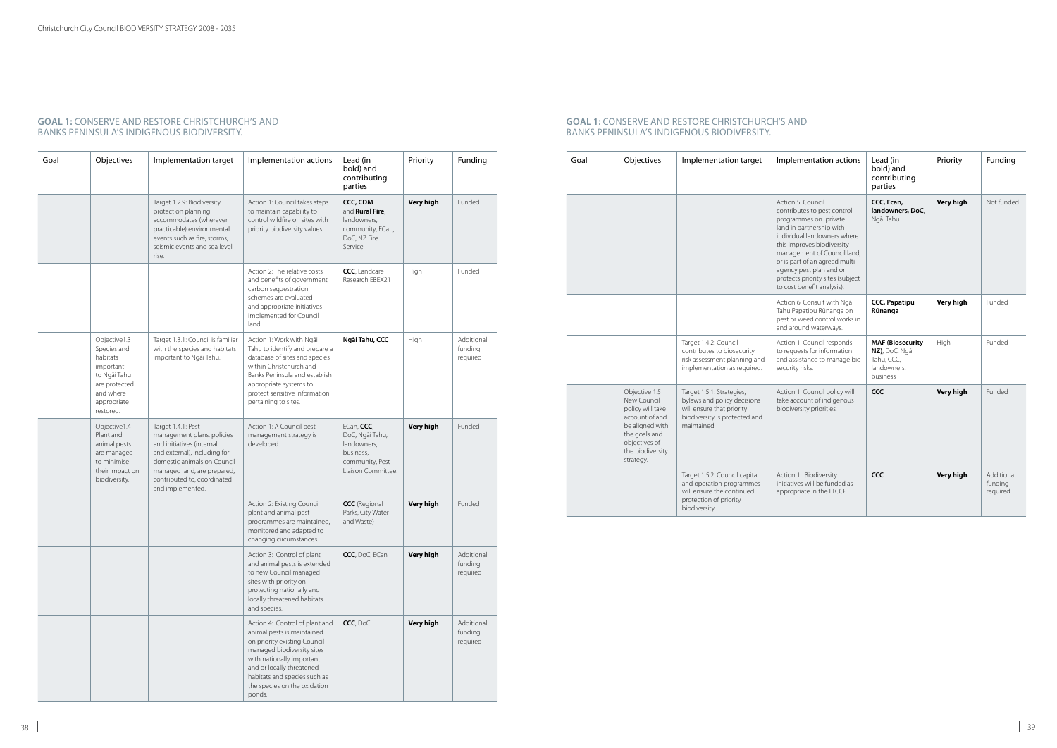| Goal | Objectives                                                                                                                     | Implementation target                                                                                                                                                                                                          | Implementation actions                                                                                                                                                                                                                                         | Lead (in<br>bold) and<br>contributing<br>parties                                                   | Priority         | Funding                           |
|------|--------------------------------------------------------------------------------------------------------------------------------|--------------------------------------------------------------------------------------------------------------------------------------------------------------------------------------------------------------------------------|----------------------------------------------------------------------------------------------------------------------------------------------------------------------------------------------------------------------------------------------------------------|----------------------------------------------------------------------------------------------------|------------------|-----------------------------------|
|      |                                                                                                                                | Target 1.2.9: Biodiversity<br>protection planning<br>accommodates (wherever<br>practicable) environmental<br>events such as fire, storms,<br>seismic events and sea level<br>rise.                                             | Action 1: Council takes steps<br>to maintain capability to<br>control wildfire on sites with<br>priority biodiversity values.                                                                                                                                  | CCC, CDM<br>and Rural Fire,<br>landowners,<br>community, ECan,<br>DoC, NZ Fire<br>Service          | <b>Very high</b> | Funded                            |
|      |                                                                                                                                |                                                                                                                                                                                                                                | Action 2: The relative costs<br>and benefits of government<br>carbon sequestration<br>schemes are evaluated<br>and appropriate initiatives<br>implemented for Council<br>land.                                                                                 | CCC, Landcare<br>Research EBEX21                                                                   | High             | Funded                            |
|      | Objective1.3<br>Species and<br>habitats<br>important<br>to Ngāi Tahu<br>are protected<br>and where<br>appropriate<br>restored. | Target 1.3.1: Council is familiar<br>with the species and habitats<br>important to Ngāi Tahu.                                                                                                                                  | Action 1: Work with Ngāi<br>Tahu to identify and prepare a<br>database of sites and species<br>within Christchurch and<br>Banks Peninsula and establish<br>appropriate systems to<br>protect sensitive information<br>pertaining to sites.                     | Ngāi Tahu, CCC                                                                                     | High             | Additional<br>funding<br>required |
|      | Objective1.4<br>Plant and<br>animal pests<br>are managed<br>to minimise<br>their impact on<br>biodiversity.                    | Target 1.4.1: Pest<br>management plans, policies<br>and initiatives (internal<br>and external), including for<br>domestic animals on Council<br>managed land, are prepared,<br>contributed to, coordinated<br>and implemented. | Action 1: A Council pest<br>management strategy is<br>developed.                                                                                                                                                                                               | ECan, CCC,<br>DoC, Ngāi Tahu,<br>landowners,<br>business,<br>community, Pest<br>Liaison Committee. | <b>Very high</b> | Funded                            |
|      |                                                                                                                                |                                                                                                                                                                                                                                | Action 2: Existing Council<br>plant and animal pest<br>programmes are maintained,<br>monitored and adapted to<br>changing circumstances.                                                                                                                       | <b>CCC</b> (Regional<br>Parks, City Water<br>and Waste)                                            | <b>Very high</b> | Funded                            |
|      |                                                                                                                                |                                                                                                                                                                                                                                | Action 3: Control of plant<br>and animal pests is extended<br>to new Council managed<br>sites with priority on<br>protecting nationally and<br>locally threatened habitats<br>and species.                                                                     | CCC, DoC, ECan                                                                                     | <b>Very high</b> | Additional<br>funding<br>required |
|      |                                                                                                                                |                                                                                                                                                                                                                                | Action 4: Control of plant and<br>animal pests is maintained<br>on priority existing Council<br>managed biodiversity sites<br>with nationally important<br>and or locally threatened<br>habitats and species such as<br>the species on the oxidation<br>ponds. | CCC, DoC                                                                                           | Very high        | Additional<br>funding<br>required |

#### **GOAL 1: CONSERVE AND RESTORE CHRISTCHURCH'S AND** BANKS PENINSULA'S INDIGENOUS BIODIVERSITY.

#### **GOAL 1: CONSERVE AND RESTORE CHRISTCHURCH'S AND** BANKS PENINSULA'S INDIGENOUS BIODIVERSITY.

| Goal | Objectives                                                                                                                                               | Implementation target                                                                                                                 | Implementation actions                                                                                                                                                                                                                                                                                                          | Lead (in<br>bold) and<br>contributing<br>parties                                   | Priority         | Funding                           |
|------|----------------------------------------------------------------------------------------------------------------------------------------------------------|---------------------------------------------------------------------------------------------------------------------------------------|---------------------------------------------------------------------------------------------------------------------------------------------------------------------------------------------------------------------------------------------------------------------------------------------------------------------------------|------------------------------------------------------------------------------------|------------------|-----------------------------------|
|      |                                                                                                                                                          |                                                                                                                                       | Action 5: Council<br>contributes to pest control<br>programmes on private<br>land in partnership with<br>individual landowners where<br>this improves biodiversity<br>management of Council land,<br>or is part of an agreed multi<br>agency pest plan and or<br>protects priority sites (subject<br>to cost benefit analysis). | CCC, Ecan,<br>landowners, DoC,<br>Ngāi Tahu                                        | Very high        | Not funded                        |
|      |                                                                                                                                                          |                                                                                                                                       | Action 6: Consult with Ngai<br>Tahu Papatipu Rūnanga on<br>pest or weed control works in<br>and around waterways.                                                                                                                                                                                                               | <b>CCC, Papatipu</b><br>Rūnanga                                                    | Very high        | Funded                            |
|      |                                                                                                                                                          | Target 1.4.2: Council<br>contributes to biosecurity<br>risk assessment planning and<br>implementation as required.                    | Action 1: Council responds<br>to requests for information<br>and assistance to manage bio<br>security risks.                                                                                                                                                                                                                    | <b>MAF (Biosecurity</b><br>NZ), DoC, Ngāi<br>Tahu, CCC,<br>landowners,<br>business | High             | Funded                            |
|      | Objective 1.5<br>New Council<br>policy will take<br>account of and<br>be aligned with<br>the goals and<br>objectives of<br>the biodiversity<br>strategy. | Target 1.5.1: Strategies,<br>bylaws and policy decisions<br>will ensure that priority<br>biodiversity is protected and<br>maintained. | Action 1: Council policy will<br>take account of indigenous<br>biodiversity priorities.                                                                                                                                                                                                                                         | CCC                                                                                | <b>Very high</b> | Funded                            |
|      |                                                                                                                                                          | Target 1.5.2: Council capital<br>and operation programmes<br>will ensure the continued<br>protection of priority<br>biodiversity.     | Action 1: Biodiversity<br>initiatives will be funded as<br>appropriate in the LTCCP.                                                                                                                                                                                                                                            | CCC                                                                                | Very high        | Additional<br>funding<br>required |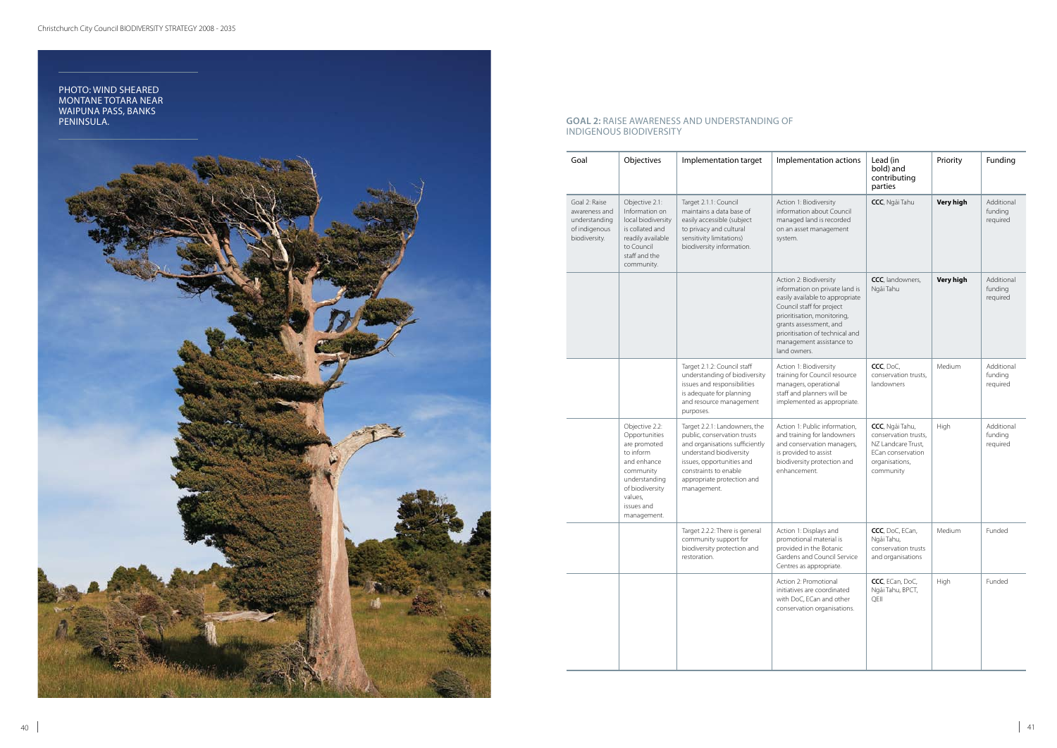| Goal                                                                              | Objectives                                                                                                                                                           | Implementation target                                                                                                                                                                                                        | Implementation actions                                                                                                                                                                                                                                           | Lead (in<br>bold) and<br>contributing<br>parties                                                                  | Priority         | Funding                           |
|-----------------------------------------------------------------------------------|----------------------------------------------------------------------------------------------------------------------------------------------------------------------|------------------------------------------------------------------------------------------------------------------------------------------------------------------------------------------------------------------------------|------------------------------------------------------------------------------------------------------------------------------------------------------------------------------------------------------------------------------------------------------------------|-------------------------------------------------------------------------------------------------------------------|------------------|-----------------------------------|
| Goal 2: Raise<br>awareness and<br>understanding<br>of indigenous<br>biodiversity. | Objective 2.1:<br>Information on<br>local biodiversity<br>is collated and<br>readily available<br>to Council<br>staff and the<br>community.                          | Target 2.1.1: Council<br>maintains a data base of<br>easily accessible (subject<br>to privacy and cultural<br>sensitivity limitations)<br>biodiversity information.                                                          | Action 1: Biodiversity<br>information about Council<br>managed land is recorded<br>on an asset management<br>system.                                                                                                                                             | CCC, Ngãi Tahu                                                                                                    | <b>Very high</b> | Additional<br>funding<br>required |
|                                                                                   |                                                                                                                                                                      |                                                                                                                                                                                                                              | Action 2: Biodiversity<br>information on private land is<br>easily available to appropriate<br>Council staff for project<br>prioritisation, monitoring,<br>grants assessment, and<br>prioritisation of technical and<br>management assistance to<br>land owners. | CCC, landowners,<br>Ngāi Tahu                                                                                     | Very high        | Additional<br>funding<br>required |
|                                                                                   |                                                                                                                                                                      | Target 2.1.2: Council staff<br>understanding of biodiversity<br>issues and responsibilities<br>is adequate for planning<br>and resource management<br>purposes.                                                              | Action 1: Biodiversity<br>training for Council resource<br>managers, operational<br>staff and planners will be<br>implemented as appropriate.                                                                                                                    | CCC, DoC,<br>conservation trusts,<br>landowners                                                                   | Medium           | Additional<br>funding<br>required |
|                                                                                   | Objective 2.2:<br>Opportunities<br>are promoted<br>to inform<br>and enhance<br>community<br>understanding<br>of biodiversity<br>values,<br>issues and<br>management. | Target 2.2.1: Landowners, the<br>public, conservation trusts<br>and organisations sufficiently<br>understand biodiversity<br>issues, opportunities and<br>constraints to enable<br>appropriate protection and<br>management. | Action 1: Public information,<br>and training for landowners<br>and conservation managers,<br>is provided to assist<br>biodiversity protection and<br>enhancement.                                                                                               | CCC, Ngãi Tahu,<br>conservation trusts,<br>NZ Landcare Trust,<br>ECan conservation<br>organisations,<br>community | High             | Additional<br>funding<br>required |
|                                                                                   |                                                                                                                                                                      | Target 2.2.2: There is general<br>community support for<br>biodiversity protection and<br>restoration.                                                                                                                       | Action 1: Displays and<br>promotional material is<br>provided in the Botanic<br>Gardens and Council Service<br>Centres as appropriate.                                                                                                                           | CCC, DoC, ECan,<br>Ngāi Tahu,<br>conservation trusts<br>and organisations                                         | Medium           | Funded                            |
|                                                                                   |                                                                                                                                                                      |                                                                                                                                                                                                                              | Action 2: Promotional<br>initiatives are coordinated<br>with DoC, ECan and other<br>conservation organisations.                                                                                                                                                  | CCC, ECan, DoC,<br>Ngāi Tahu, BPCT,<br>QEII                                                                       | High             | Funded                            |

#### **GOAL 2:** raise awareness and understanding of indigenous biodiversity

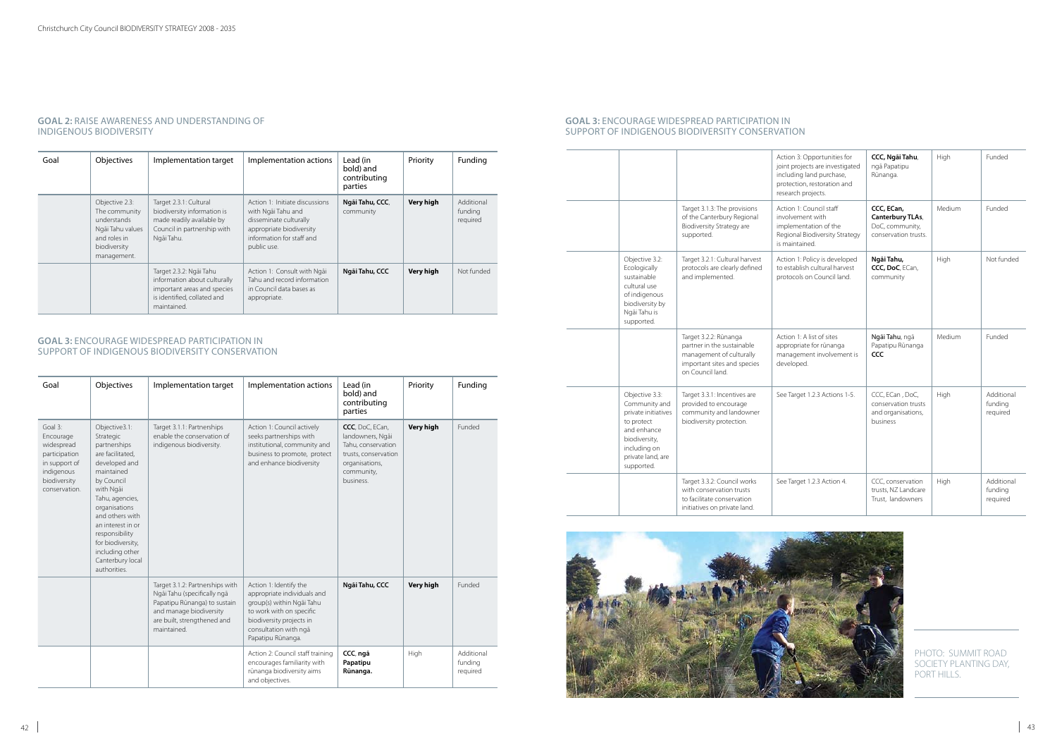| Goal | <b>Objectives</b>                                                                                                 | Implementation target                                                                                                                | Implementation actions                                                                                                                                 | Lead (in<br>bold) and<br>contributing<br>parties | Priority  | Funding                           |
|------|-------------------------------------------------------------------------------------------------------------------|--------------------------------------------------------------------------------------------------------------------------------------|--------------------------------------------------------------------------------------------------------------------------------------------------------|--------------------------------------------------|-----------|-----------------------------------|
|      | Objective 2.3:<br>The community<br>understands<br>Ngāi Tahu values<br>and roles in<br>biodiversity<br>management. | Target 2.3.1: Cultural<br>biodiversity information is<br>made readily available by<br>Council in partnership with<br>Ngāi Tahu.      | Action 1: Initiate discussions<br>with Ngãi Tahu and<br>disseminate culturally<br>appropriate biodiversity<br>information for staff and<br>public use. | Ngãi Tahu, CCC,<br>community                     | Very high | Additional<br>funding<br>required |
|      |                                                                                                                   | Target 2.3.2: Ngāi Tahu<br>information about culturally<br>important areas and species<br>is identified, collated and<br>maintained. | Action 1: Consult with Ngai<br>Tahu and record information<br>in Council data bases as<br>appropriate.                                                 | Ngāi Tahu, CCC                                   | Very high | Not funded                        |

#### **GOAL 2:** raise awareness and understanding of indigenous biodiversity

#### **GOAL 3:** Encourage widespread participation in support of indigenous biodiversity conservation

| Goal                                                                                                                | Objectives                                                                                                                                                                                                                                                                                         | Implementation target                                                                                                                                                   | Implementation actions                                                                                                                                                                   | Lead (in<br>bold) and<br>contributing<br>parties                                                                               | Priority         | Funding                           |
|---------------------------------------------------------------------------------------------------------------------|----------------------------------------------------------------------------------------------------------------------------------------------------------------------------------------------------------------------------------------------------------------------------------------------------|-------------------------------------------------------------------------------------------------------------------------------------------------------------------------|------------------------------------------------------------------------------------------------------------------------------------------------------------------------------------------|--------------------------------------------------------------------------------------------------------------------------------|------------------|-----------------------------------|
| Goal 3:<br>Encourage<br>widespread<br>participation<br>in support of<br>indigenous<br>biodiversity<br>conservation. | Objective3.1:<br>Strategic<br>partnerships<br>are facilitated,<br>developed and<br>maintained<br>by Council<br>with Ngāi<br>Tahu, agencies,<br>organisations<br>and others with<br>an interest in or<br>responsibility<br>for biodiversity,<br>including other<br>Canterbury local<br>authorities. | Target 3.1.1: Partnerships<br>enable the conservation of<br>indigenous biodiversity.                                                                                    | Action 1: Council actively<br>seeks partnerships with<br>institutional, community and<br>business to promote, protect<br>and enhance biodiversity                                        | CCC, DoC, ECan,<br>landowners, Ngāi<br>Tahu, conservation<br>trusts, conservation<br>organisations,<br>community,<br>business. | <b>Very high</b> | Funded                            |
|                                                                                                                     |                                                                                                                                                                                                                                                                                                    | Target 3.1.2: Partnerships with<br>Ngãi Tahu (specifically ngã<br>Papatipu Rūnanga) to sustain<br>and manage biodiversity<br>are built, strengthened and<br>maintained. | Action 1: Identify the<br>appropriate individuals and<br>group(s) within Ngai Tahu<br>to work with on specific<br>biodiversity projects in<br>consultation with ngā<br>Papatipu Rūnanga. | Ngāi Tahu, CCC                                                                                                                 | <b>Very high</b> | Funded                            |
|                                                                                                                     |                                                                                                                                                                                                                                                                                                    |                                                                                                                                                                         | Action 2: Council staff training<br>encourages familiarity with<br>rūnanga biodiversity aims<br>and objectives.                                                                          | CCC, ngā<br>Papatipu<br>Rūnanga.                                                                                               | High             | Additional<br>funding<br>required |

|                                                                                                                                                         |                                                                                                                                    | Action 3: Opportunities for<br>joint projects are investigated<br>including land purchase,<br>protection, restoration and<br>research projects. | CCC, Ngāi Tahu,<br>ngā Papatipu<br>Rūnanga.                               | High   | Funded                            |
|---------------------------------------------------------------------------------------------------------------------------------------------------------|------------------------------------------------------------------------------------------------------------------------------------|-------------------------------------------------------------------------------------------------------------------------------------------------|---------------------------------------------------------------------------|--------|-----------------------------------|
|                                                                                                                                                         | Target 3.1.3: The provisions<br>of the Canterbury Regional<br>Biodiversity Strategy are<br>supported.                              | Action 1: Council staff<br>involvement with<br>implementation of the<br>Regional Biodiversity Strategy<br>is maintained.                        | CCC, ECan,<br>Canterbury TLAs,<br>DoC, community,<br>conservation trusts. | Medium | Funded                            |
| Objective 3.2:<br>Ecologically<br>sustainable<br>cultural use<br>of indigenous<br>biodiversity by<br>Ngāi Tahu is<br>supported.                         | Target 3.2.1: Cultural harvest<br>protocols are clearly defined<br>and implemented.                                                | Action 1: Policy is developed<br>to establish cultural harvest<br>protocols on Council land.                                                    | Ngāi Tahu,<br>CCC, DoC, ECan,<br>community                                | High   | Not funded                        |
|                                                                                                                                                         | Target 3.2.2: Rūnanga<br>partner in the sustainable<br>management of culturally<br>important sites and species<br>on Council land. | Action 1: A list of sites<br>appropriate for rūnanga<br>management involvement is<br>developed.                                                 | Ngāi Tahu, ngā<br>Papatipu Rūnanga<br><b>CCC</b>                          | Medium | Funded                            |
| Objective 3.3:<br>Community and<br>private initiatives<br>to protect<br>and enhance<br>biodiversity,<br>including on<br>private land, are<br>supported. | Target 3.3.1: Incentives are<br>provided to encourage<br>community and landowner<br>biodiversity protection.                       | See Target 1.2.3 Actions 1-5.                                                                                                                   | CCC, ECan, DoC,<br>conservation trusts<br>and organisations,<br>business  | High   | Additional<br>funding<br>required |
|                                                                                                                                                         | Target 3.3.2: Council works<br>with conservation trusts<br>to facilitate conservation<br>initiatives on private land.              | See Target 1.2.3 Action 4.                                                                                                                      | CCC, conservation<br>trusts. NZ Landcare<br>Trust, landowners             | High   | Additional<br>funding<br>required |

#### **GOAL 3:** Encourage widespread participation in support of indigenous biodiversity conservation



PHOTO: SUMMIT ROAD SOCIETY PLANTING DAY, PORT HILLS.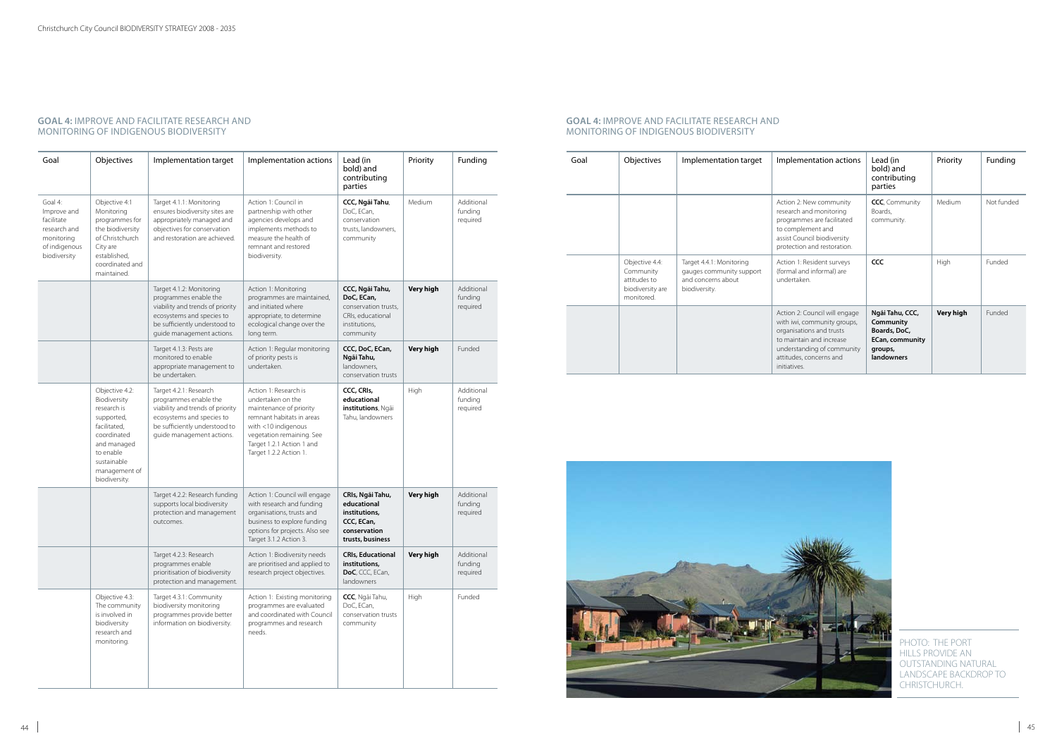| Goal                                                                                                | Objectives                                                                                                                                                              | Implementation target                                                                                                                                                            | Implementation actions                                                                                                                                                                                        | Lead (in<br>bold) and<br>contributing<br>parties                                                         | Priority         | Funding                           |
|-----------------------------------------------------------------------------------------------------|-------------------------------------------------------------------------------------------------------------------------------------------------------------------------|----------------------------------------------------------------------------------------------------------------------------------------------------------------------------------|---------------------------------------------------------------------------------------------------------------------------------------------------------------------------------------------------------------|----------------------------------------------------------------------------------------------------------|------------------|-----------------------------------|
| Goal 4:<br>Improve and<br>facilitate<br>research and<br>monitoring<br>of indigenous<br>biodiversity | Objective 4:1<br>Monitoring<br>programmes for<br>the biodiversity<br>of Christchurch<br>City are<br>established,<br>coordinated and<br>maintained.                      | Target 4.1.1: Monitoring<br>ensures biodiversity sites are<br>appropriately managed and<br>objectives for conservation<br>and restoration are achieved.                          | Action 1: Council in<br>partnership with other<br>agencies develops and<br>implements methods to<br>measure the health of<br>remnant and restored<br>biodiversity.                                            | CCC, Ngāi Tahu,<br>DoC, ECan,<br>conservation<br>trusts, landowners,<br>community                        | Medium           | Additional<br>funding<br>required |
|                                                                                                     |                                                                                                                                                                         | Target 4.1.2: Monitoring<br>programmes enable the<br>viability and trends of priority<br>ecosystems and species to<br>be sufficiently understood to<br>guide management actions. | Action 1: Monitoring<br>programmes are maintained,<br>and initiated where<br>appropriate, to determine<br>ecological change over the<br>long term.                                                            | CCC, Ngāi Tahu,<br>DoC, ECan,<br>conservation trusts,<br>CRIs, educational<br>institutions,<br>community | Very high        | Additional<br>funding<br>required |
|                                                                                                     |                                                                                                                                                                         | Target 4.1.3: Pests are<br>monitored to enable<br>appropriate management to<br>be undertaken.                                                                                    | Action 1: Regular monitoring<br>of priority pests is<br>undertaken.                                                                                                                                           | CCC, DoC, ECan,<br>Ngāi Tahu,<br>landowners.<br>conservation trusts                                      | <b>Very high</b> | Funded                            |
|                                                                                                     | Objective 4.2:<br>Biodiversity<br>research is<br>supported,<br>facilitated,<br>coordinated<br>and managed<br>to enable<br>sustainable<br>management of<br>biodiversity. | Target 4.2.1: Research<br>programmes enable the<br>viability and trends of priority<br>ecosystems and species to<br>be sufficiently understood to<br>guide management actions.   | Action 1: Research is<br>undertaken on the<br>maintenance of priority<br>remnant habitats in areas<br>with <10 indigenous<br>vegetation remaining. See<br>Target 1.2.1 Action 1 and<br>Target 1.2.2 Action 1. | CCC, CRIs,<br>educational<br>institutions, Ngāi<br>Tahu, landowners                                      | High             | Additional<br>funding<br>required |
|                                                                                                     |                                                                                                                                                                         | Target 4.2.2: Research funding<br>supports local biodiversity<br>protection and management<br>outcomes.                                                                          | Action 1: Council will engage<br>with research and funding<br>organisations, trusts and<br>business to explore funding<br>options for projects. Also see<br>Target 3.1.2 Action 3.                            | CRIs, Ngāi Tahu,<br>educational<br>institutions,<br>CCC, ECan,<br>conservation<br>trusts, business       | <b>Very high</b> | Additional<br>funding<br>required |
|                                                                                                     |                                                                                                                                                                         | Target 4.2.3: Research<br>programmes enable<br>prioritisation of biodiversity<br>protection and management.                                                                      | Action 1: Biodiversity needs<br>are prioritised and applied to<br>research project objectives.                                                                                                                | <b>CRIs, Educational</b><br>institutions,<br>DoC, CCC, ECan,<br>landowners                               | Very high        | Additional<br>funding<br>required |
|                                                                                                     | Objective 4.3:<br>The community<br>is involved in<br>biodiversity<br>research and<br>monitoring.                                                                        | Target 4.3.1: Community<br>biodiversity monitoring<br>programmes provide better<br>information on biodiversity.                                                                  | Action 1: Existing monitoring<br>programmes are evaluated<br>and coordinated with Council<br>programmes and research<br>needs.                                                                                | CCC, Ngāi Tahu,<br>DoC, ECan,<br>conservation trusts<br>community                                        | High             | Funded                            |

PHOTO: THE PORT HILLS PROVIDE AN OUTSTANDING NATURAL LANDSCAPE BACKDROP TO CHRISTCHURCH.

#### **GOAL 4:** Improve and facilitate research and monitoring of indigenous biodiversity

| Goal | Objectives                                                                    | Implementation target                                                                       | Implementation actions                                                                                                                                                                        | Lead (in<br>bold) and<br>contributing<br>parties                                                       | Priority  | Funding    |
|------|-------------------------------------------------------------------------------|---------------------------------------------------------------------------------------------|-----------------------------------------------------------------------------------------------------------------------------------------------------------------------------------------------|--------------------------------------------------------------------------------------------------------|-----------|------------|
|      |                                                                               |                                                                                             | Action 2: New community<br>research and monitoring<br>programmes are facilitated<br>to complement and<br>assist Council biodiversity<br>protection and restoration.                           | CCC, Community<br>Boards,<br>community.                                                                | Medium    | Not funded |
|      | Objective 4.4:<br>Community<br>attitudes to<br>biodiversity are<br>monitored. | Target 4.4.1: Monitoring<br>gauges community support<br>and concerns about<br>biodiversity. | Action 1: Resident surveys<br>(formal and informal) are<br>undertaken.                                                                                                                        | CCC                                                                                                    | High      | Funded     |
|      |                                                                               |                                                                                             | Action 2: Council will engage<br>with iwi, community groups,<br>organisations and trusts<br>to maintain and increase<br>understanding of community<br>attitudes, concerns and<br>initiatives. | Ngāi Tahu, CCC,<br>Community<br>Boards, DoC,<br><b>ECan, community</b><br>groups,<br><b>landowners</b> | Very high | Funded     |



#### **GOAL 4:** Improve and facilitate research and monitoring of indigenous biodiversity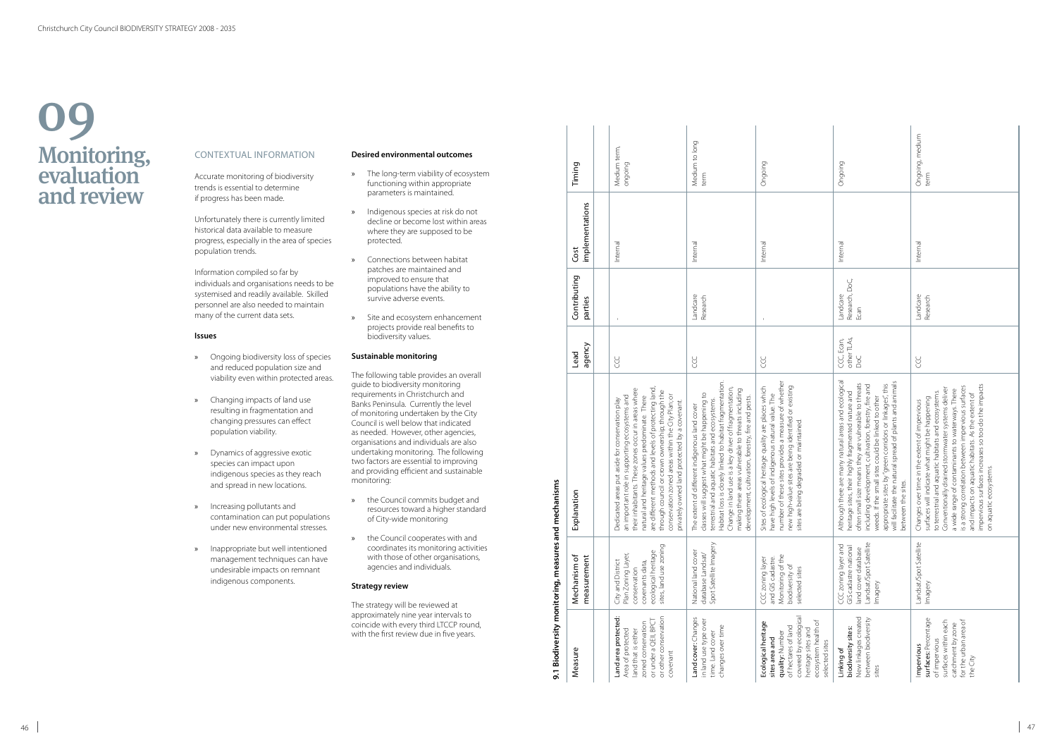Accurate monitoring of biodiversity trends is essential to determine if progress has been made.

Unfortunately there is currently limited historical data available to measure progress, especially in the area of species population trends.

Information compiled so far by individuals and organisations needs to be systemised and readily available. Skilled personnel are also needed to maintain many of the current data sets.

#### **Issues**

- » Ongoing biodiversity loss of species and reduced population size and viability even within protected areas.
- » Changing impacts of land use resulting in fragmentation and changing pressures can effect population viability.
- » Dynamics of aggressive exotic species can impact upon indigenous species as they reach and spread in new locations.
- » Increasing pollutants and contamination can put populations under new environmental stresses.
- » Inappropriate but well intentioned management techniques can have undesirable impacts on remnant indigenous components.

## Monitoring, evaluation and review 09

## CONTEXTUAL INI

#### **Desired environmental outcomes**

- » The long-term viability of ecosystem functioning within appropriate parameters is maintained.
- » Indigenous species at risk do not decline or become lost within areas where they are supposed to be protected.
- » Connections between habitat patches are maintained and improved to ensure that populations have the ability to survive adverse events.
- » Site and ecosystem enhancement projects provide real benefits to biodiversity values.

#### **Sustainable monitoring**

The following table provides an overall guide to biodiversity monitoring requirements in Christchurch and Banks Peninsula. Currently the level of monitoring undertaken by the City Council is well below that indicated as needed. However, other agencies, organisations and individuals are also undertaking monitoring. The following two factors are essential to improving and providing efficient and sustainable monitoring:

- » the Council commits budget and resources toward a higher standard of City-wide monitoring
- » the Council cooperates with and coordinates its monitoring activities with those of other organisations, agencies and individuals.

#### **Strategy review**

The strategy will be reviewed at approximately nine year intervals to coincide with every third LTCCP round, with the first review due in five years.

|                                           | Timing                      | Medium term,<br>ongoing                                                                                                                                                                                                                                                                                                                                                                                                        | Medium to long<br>term                                                                                                                                                                                                                                                                                                                                                                | Ongoing                                                                                                                                                                                                                                                               | Ongoing                                                                                                                                                                                                                                                                                                                                                                                                                           | Ongoing, medium<br>term                                                                                                                                                                                                                                                                                                                                                                                                                                      |
|-------------------------------------------|-----------------------------|--------------------------------------------------------------------------------------------------------------------------------------------------------------------------------------------------------------------------------------------------------------------------------------------------------------------------------------------------------------------------------------------------------------------------------|---------------------------------------------------------------------------------------------------------------------------------------------------------------------------------------------------------------------------------------------------------------------------------------------------------------------------------------------------------------------------------------|-----------------------------------------------------------------------------------------------------------------------------------------------------------------------------------------------------------------------------------------------------------------------|-----------------------------------------------------------------------------------------------------------------------------------------------------------------------------------------------------------------------------------------------------------------------------------------------------------------------------------------------------------------------------------------------------------------------------------|--------------------------------------------------------------------------------------------------------------------------------------------------------------------------------------------------------------------------------------------------------------------------------------------------------------------------------------------------------------------------------------------------------------------------------------------------------------|
|                                           | implementations<br>Cost     | Internal                                                                                                                                                                                                                                                                                                                                                                                                                       | Interna                                                                                                                                                                                                                                                                                                                                                                               | Internal                                                                                                                                                                                                                                                              | Internal                                                                                                                                                                                                                                                                                                                                                                                                                          | Internal                                                                                                                                                                                                                                                                                                                                                                                                                                                     |
|                                           | Contributing<br>parties     |                                                                                                                                                                                                                                                                                                                                                                                                                                | Landcare<br>Research                                                                                                                                                                                                                                                                                                                                                                  | $\mathbf{1}$                                                                                                                                                                                                                                                          | Research, DoC,<br>Landcare<br>Ecan                                                                                                                                                                                                                                                                                                                                                                                                | Landcare<br>Research                                                                                                                                                                                                                                                                                                                                                                                                                                         |
|                                           | agency<br>Lead              | <b>CCC</b>                                                                                                                                                                                                                                                                                                                                                                                                                     | <b>CCC</b>                                                                                                                                                                                                                                                                                                                                                                            | <b>CCC</b>                                                                                                                                                                                                                                                            | other TLAs,<br>CCC, Ecan,<br>DoC                                                                                                                                                                                                                                                                                                                                                                                                  | <b>CC</b>                                                                                                                                                                                                                                                                                                                                                                                                                                                    |
| mechanisms                                | Explanation                 | are different methods and levels of protecting land,<br>their inhabitants. These zones occur in areas where<br>through council or crown ownership; through the<br>conservation zoned areas within the City Plan; or<br>important role in supporting ecosystems and<br>natural and heritage values predominate. There<br>Dedicated areas put aside for conservation play<br>privately owned land protected by a covenant.<br>۵Ė | Habitat loss is closely linked to habitat fragmentation.<br>Change in land use is a key driver of fragmentation,<br>making these areas vulnerable to threats including<br>classes will suggest what might be happening to<br>development, cultivation, forestry, fire and pests.<br>terrestrial and aquatic habitats and ecosystems.<br>The extent of different indigenous land cover | number of these sites provides a measure of whethen<br>new high-value sites are being identified or existing<br>Sites of ecological heritage quality are places which<br>have high levels of indigenous natural value. The<br>sites are being degraded or maintained. | Although there are many natural areas and ecological<br>will facilitate the natural spread of plants and animals<br>often small size means they are vulnerable to threats<br>appropriate sites by "green corridors or linkages", this<br>including development, cultivation, forestry, fire and<br>heritage sites, their highly fragmented nature and<br>weeds. If the small sites could be linked to other<br>between the sites. | impervious surfaces increases so too do the impacts<br>a wide range of contaminants to waterways. There<br>is a strong correlation between impervious surfaces<br>Conventionally drained stormwater systems deliver<br>to terrestrial and aquatic habitats and ecosystems.<br>and impacts on aquatic habitats. As the extent of<br>surfaces will indicate what might be happening<br>Changes over time in the extent of impervious<br>on aquatic ecosystems. |
| 9.1 Biodiversity monitoring, measures and | Mechanism of<br>measurement | sites, land use zoning<br>ecological heritage<br>Plan Zoning Layer,<br>City and District<br>covenants data,<br>conservation                                                                                                                                                                                                                                                                                                    | Spot Satellite Imagery<br>National land cover<br>database Landsat/                                                                                                                                                                                                                                                                                                                    | Monitoring of the<br>and GIS cadastre.<br>CCC zoning layer<br>biodiversity of<br>selected sites                                                                                                                                                                       | Landsat/Spot Satellite<br>CCC zoning layer and<br>GIS cadastre national<br>land cover database<br>Imagery                                                                                                                                                                                                                                                                                                                         | Landsat/Spot Satellite<br>Imagery                                                                                                                                                                                                                                                                                                                                                                                                                            |
|                                           | Measure                     | Land area protected:<br>or other conservation<br>or under a QEII, BPCT<br>zoned conservation<br>Area of protected<br>land that is either<br>covenant                                                                                                                                                                                                                                                                           | Land cover: Changes<br>in land use type over<br>changes over time<br>time. Land cover                                                                                                                                                                                                                                                                                                 | covered by ecological<br>ecosystem health of<br>Ecological heritage<br>of hectares of land<br>heritage sites and<br>quality: Number<br>sites area and<br>selected sites                                                                                               | New linkages created<br>between biodiversity<br>biodiversity sites:<br>Linking of<br>sites                                                                                                                                                                                                                                                                                                                                        | surfaces: Percentage<br>for the urban area of<br>surfaces within each<br>catchment by zone<br>of impervious<br>Impervious<br>the City                                                                                                                                                                                                                                                                                                                        |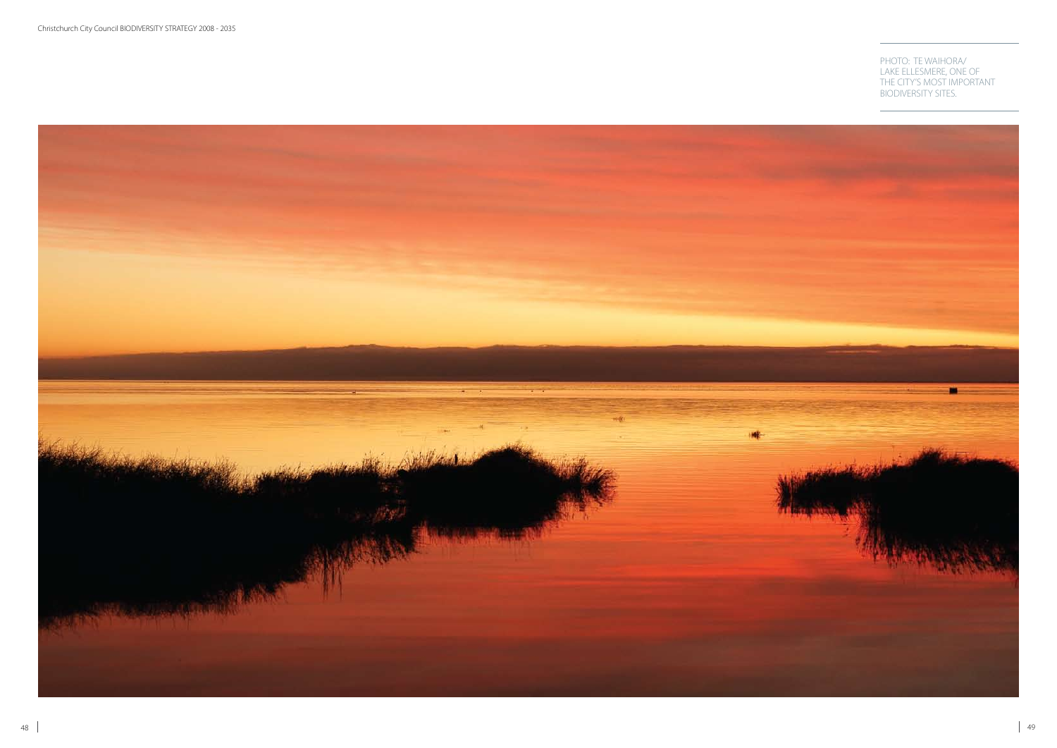

#### PHOTO: TE WAIHORA/ LAKE ELLESMERE, ONE OF THE CITY'S MOST IMPORTANT BIODIVERSITY SITES.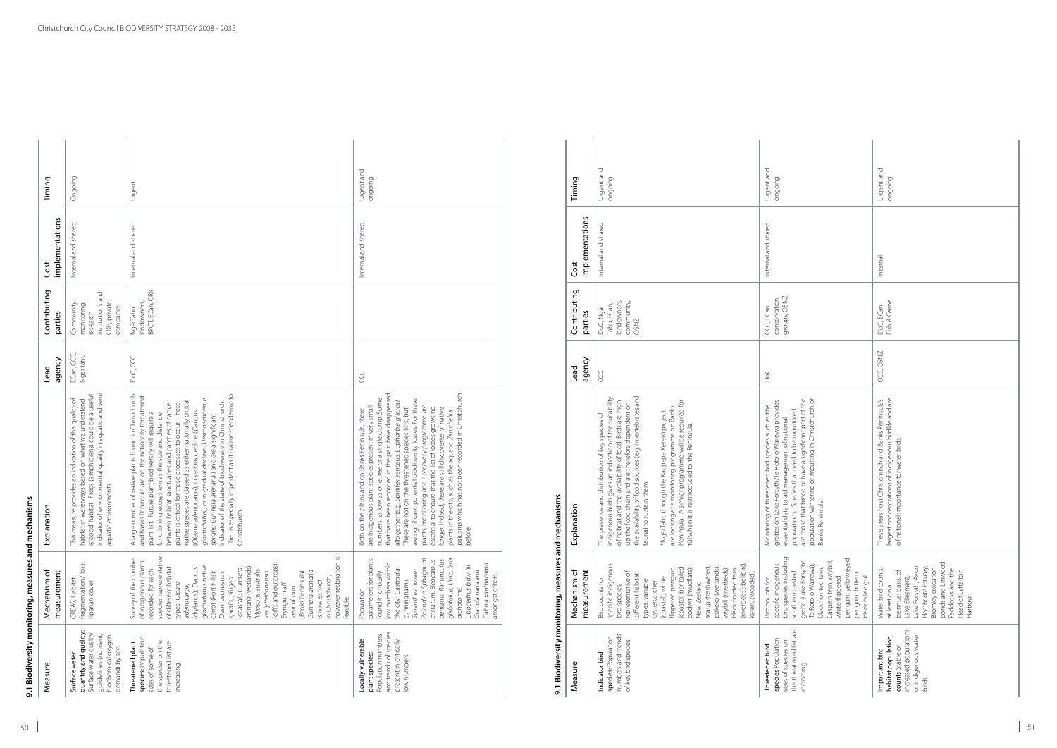50

| Measure                                                                                                                            | Mechanism of<br>measurement                                                                                                                                                                                                                                                                                                                                                                                                                                                                                                               | planation<br>ă                                                                                                                                                                                                                                                                                                                                                                                                                                                                                                                                                                                                                                                                                           | agency<br>Lead          | Contributing<br>parties                                                                | implementations<br>Cost | Timing                |
|------------------------------------------------------------------------------------------------------------------------------------|-------------------------------------------------------------------------------------------------------------------------------------------------------------------------------------------------------------------------------------------------------------------------------------------------------------------------------------------------------------------------------------------------------------------------------------------------------------------------------------------------------------------------------------------|----------------------------------------------------------------------------------------------------------------------------------------------------------------------------------------------------------------------------------------------------------------------------------------------------------------------------------------------------------------------------------------------------------------------------------------------------------------------------------------------------------------------------------------------------------------------------------------------------------------------------------------------------------------------------------------------------------|-------------------------|----------------------------------------------------------------------------------------|-------------------------|-----------------------|
| quantity and quality<br>Surface water quality<br>quildelines (nutrient,<br>biochemical oxygen<br>demand) by site.<br>Surface water | fragmentation/loss;<br>CREAS, Habitat<br>riparian cover.                                                                                                                                                                                                                                                                                                                                                                                                                                                                                  | is 'good' habitat. Frogs (amphibians) could be a useful<br>indicator of environmental quality in aquatic and semi<br>This measure provides an indication of the quality of<br>habitat in waterways based on what we understand<br>aquatic environments.                                                                                                                                                                                                                                                                                                                                                                                                                                                  | ECan, CCC,<br>Ngãi Tahu | institutions and<br>CRIs, private<br>Community<br>monitoring,<br>companies<br>research | Internal and shared     | Ongoing               |
| species: Population<br>the species on the<br>Threatened plant<br>threatened list are<br>sizes of some of<br>increasing.            | however restoration is<br>species representative<br>Survey of the number<br>of indigenous plants<br>(cliffs and outcrops);<br>glochidiatus, native<br>of different habitat<br>arenaria (wetlands)<br>(drylands); Daucus<br>(coastal); Gunnera<br>recorded for each<br>Myosotis australis<br>var lytteltonensis<br>(Banks Peninsula).<br>Gunnera arenaria<br>carrot (Port Hills);<br>Desmoschoenus<br>in Christchurch,<br>spiralis, pīngao<br>is now extinct<br>types: Olearia<br>Eryngium aff.<br>vesiculosum<br>adenocarpa,<br>feasible. | A large number of native plants found in Christchurch<br>The is especially important as it is almost endemic to<br>and Banks Peninsula are on the nationally threatened<br>glochidiatus), or in gradual decline (Desmoschoenus<br>native species are classed as either nationally critical<br>indicator of the state of biodiversity in Christchurch.<br>plants is critical for these processes to occur. These<br>between habitat sanctuaries and patches of native<br>(Olearia adenocarpa), in serious decline (Daucus<br>plant list. Future plant biodiversity will require a<br>functioning ecosystem as the size and distance<br>spiralis; Gunnera arenaria) and are a significant<br>Christchurch. | DoC, CCC                | BPCT, ECan, CRIs<br>landowners,<br>Ngāi Tahu,                                          | Internal and shared     | Urgent                |
| and trends of species<br>Population numbers<br>Locally vulnerable<br>present in critically<br>plant species:<br>low numbers        | glabrifolius, Utricularia<br>Zelandiae, Sphagnum<br>parameters for plants<br>dentatus, Ranunculus<br>cristatum, Eleocarpus<br>low numbers within<br>Gahnia xanthocarpa<br>Libocedrus bidwillii,<br>the city: Gastrodia<br>Spiranthes novae-<br>Gratiola nana and<br>found in critically<br>amongst others.<br>cunninghamii,<br>dichotoma,<br>Population                                                                                                                                                                                   | that have been recorded in the past have disappeared<br><i>palustris</i> which has not been recorded in Christchurch<br>before.<br>numbers, as low as one tree or a single clump. Some<br>are significant potential biodiversity losses. For these<br>altogether (e.g. Spinifex sericeus, Euphorbia glauca).<br>plants, monitoring and a recovery programme are<br>are indigenous plant species present in very small<br>essential to ensure that the list of losses grows no<br>longer. Indeed, there are still discoveries of native<br>These are not on the threatened species lists, but<br>Both on the plains and on Banks Peninsula, there<br>plants in the city, such as the aquatic Zanichellia  | <b>CCC</b>              |                                                                                        | Internal and shared     | Urgent and<br>ongoing |

## **9.1 Biodiversity monitoring, measures and mechanisms** mechanisms and Ĕ **g** δ Ē 9.1 Biodiversity

| Timing                      | Urgent and<br>ongoing                                                                                                                                                                                                                                                                                                                                                                                                                                                                                                          | Urgent and<br>ongoing                                                                                                                                                                                                                                                                                                                         | Urgent and<br>ongoing                                                                                                                                                                                                   |
|-----------------------------|--------------------------------------------------------------------------------------------------------------------------------------------------------------------------------------------------------------------------------------------------------------------------------------------------------------------------------------------------------------------------------------------------------------------------------------------------------------------------------------------------------------------------------|-----------------------------------------------------------------------------------------------------------------------------------------------------------------------------------------------------------------------------------------------------------------------------------------------------------------------------------------------|-------------------------------------------------------------------------------------------------------------------------------------------------------------------------------------------------------------------------|
| implementations<br>Cost     | Internal and shared                                                                                                                                                                                                                                                                                                                                                                                                                                                                                                            | Internal and shared                                                                                                                                                                                                                                                                                                                           | Internal                                                                                                                                                                                                                |
| Contributing<br>parties     | landowners,<br>community,<br>Tahu, ECan,<br>DoC, Ngāi<br><b>OSNZ</b>                                                                                                                                                                                                                                                                                                                                                                                                                                                           | groups, OSNZ<br>conservation<br>CCC, ECan,                                                                                                                                                                                                                                                                                                    | Fish & Game<br>DoC, ECan,                                                                                                                                                                                               |
| agency<br>Lead              | <b>CCC</b>                                                                                                                                                                                                                                                                                                                                                                                                                                                                                                                     | <b>DoC</b>                                                                                                                                                                                                                                                                                                                                    | CCC, OSNZ                                                                                                                                                                                                               |
| Explanation                 | the availability of food sources (e.g. invertebrates and<br>indigenous birds gives an indication of the suitability<br>Peninsula. A similar programme will be required for<br>of habitat and the availability of food. Birds are high<br>up the food chain and are therefore dependent on<br>are looking at a monitoring programme on Banks<br>*Ngāi Tahu through the Kaupapa Kererū project<br>The presence and distribution of key species of<br>when it is reintroduced to the Peninsula.<br>fauna) to sustain them.<br>iūj | population wintering or moulting in Christchurch or<br>are those that breed or have a significant part of the<br>grebes on Lake Forsyth/Te Roto o Wairewa provides<br>essential data to aid management of national<br>Monitoring of threatened bird species such as the<br>populations. Species that need to be monitored<br>Banks Peninsula. | largest concentrations of indigenous birdlife and are<br>These areas host Christchurch and Banks Peninsula's<br>of national importance for water birds.                                                                 |
| Mechanism of<br>measurement | (riverbeds); bellbird,<br>specific indigenous<br>scaup (freshwater);<br>pūkeko (wetlands);<br>godwit (mudflats);<br>wrybill (riverbeds);<br>flippered penguin<br>(coastal) bar-tailed<br>black fronted tern<br>kererū (wooded).<br>representative of<br>different habitat<br>(coastal); white<br>Bird counts for<br>types: variable<br>New Zealand<br>oystercatcher<br>bird species,                                                                                                                                           | bird species including<br>penguin; yellow eyed<br>Caspian tern; wrybill;<br>grebe (Lake Forsyth/<br>specific indigenous<br>Te Roto o Wairewa);<br>black fronted tern;<br>southern crested<br>penguin; bittern;<br>black billed gull.<br>white flippered<br>Bird counts for                                                                    | ponds and Linwood<br>Lake Forsyth, Avon<br>Heathcote Estuary,<br>Bromley oxidation<br>Paddocks and the<br>Water bird counts,<br>biannual basis, of<br>Head of Lyttelton<br>Lake Ellesmere,<br>at least on a<br>Harbour. |
| Measure                     | numbers and trends<br>species: Population<br>of key bird species.<br>Indicator bird                                                                                                                                                                                                                                                                                                                                                                                                                                            | the threatened list are<br>species Population<br>sizes of species on<br>Threatened bird<br>increasing.                                                                                                                                                                                                                                        | increased populations<br>of indigenous water<br>habitat population<br>counts Stable or<br>Important bird<br>birds.                                                                                                      |